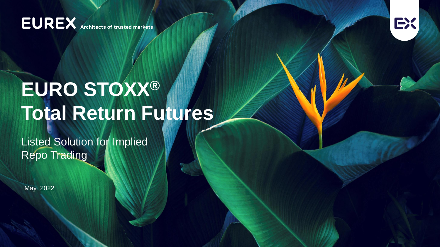**EUREX** Architects of trusted markets



# **EURO STOXX® Total Return Futures**

Listed Solution for Implied **Repo Trading** 

May 2022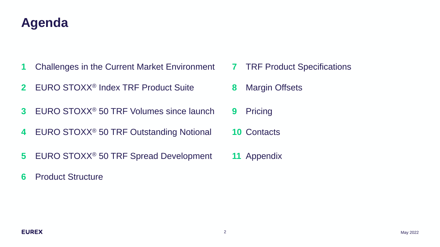## **Agenda**

- Challenges in the Current Market Environment **7** TRF Product Specifications
- EURO STOXX® Index TRF Product Suite **8** Margin Offsets
- EURO STOXX® 50 TRF Volumes since launch **9** Pricing
- EURO STOXX® 50 TRF Outstanding Notional **10** Contacts
- EURO STOXX® 50 TRF Spread Development **11** Appendix
- Product Structure
- 
- 
- 
- 
-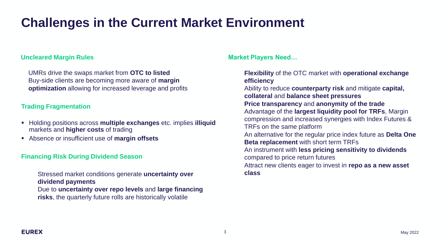## **Challenges in the Current Market Environment**

### **Uncleared Margin Rules**

UMRs drive the swaps market from **OTC to listed**  Buy-side clients are becoming more aware of **margin optimization** allowing for increased leverage and profits

### **Trading Fragmentation**

- Holding positions across **multiple exchanges** etc. implies **illiquid** markets and **higher costs** of trading
- Absence or insufficient use of **margin offsets**

### **Financing Risk During Dividend Season**

Stressed market conditions generate **uncertainty over dividend payments**

Due to **uncertainty over repo levels** and **large financing risks**, the quarterly future rolls are historically volatile

**Market Players Need…**

**Flexibility** of the OTC market with **operational exchange efficiency**

Ability to reduce **counterparty risk** and mitigate **capital, collateral** and **balance sheet pressures**

**Price transparency** and **anonymity of the trade**

Advantage of the **largest liquidity pool for TRFs**, Margin compression and increased synergies with Index Futures & TRFs on the same platform

An alternative for the regular price index future as **Delta One Beta replacement** with short term TRFs

An instrument with **less pricing sensitivity to dividends**  compared to price return futures

Attract new clients eager to invest in **repo as a new asset class**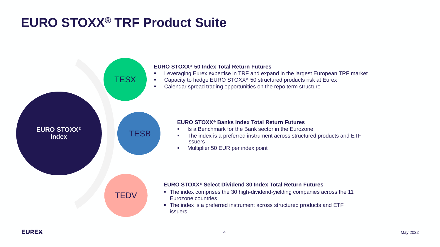## **EURO STOXX® TRF Product Suite**

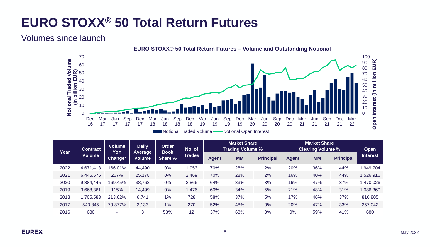## **EURO STOXX® 50 Total Return Futures**

Volumes since launch



| ∎Notional Traded Volume • |  | Notional Open Interest |  |
|---------------------------|--|------------------------|--|
|                           |  |                        |  |

| Year | <b>Contract</b> | <b>Volume</b><br>YoY | <b>Daily</b><br>Average | Order   | No. of<br><b>Book</b> |              | <b>Market Share</b><br><b>Trading Volume %</b> |                  |       | <b>Market Share</b><br><b>Clearing Volume %</b> |                  | <b>Open</b>     |
|------|-----------------|----------------------|-------------------------|---------|-----------------------|--------------|------------------------------------------------|------------------|-------|-------------------------------------------------|------------------|-----------------|
|      | <b>Volume</b>   | Change*              | Volume                  | Share % | <b>Trades</b>         | <b>Agent</b> | <b>MM</b>                                      | <b>Principal</b> | Agent | <b>MM</b>                                       | <b>Principal</b> | <b>Interest</b> |
| 2022 | 4,671,418       | 166.01%              | 44,490                  | 0%      | ,953                  | 70%          | 28%                                            | 2%               | 20%   | 36%                                             | 44%              | 949,704         |
| 2021 | 6,445,575       | 267%                 | 25,178                  | 0%      | 2,469                 | 70%          | 28%                                            | 2%               | 16%   | 40%                                             | 44%              | 1,526,916       |
| 2020 | 9,884,445       | 169.45%              | 38,763                  | 0%      | 2,866                 | 64%          | 33%                                            | 3%               | 16%   | 47%                                             | 37%              | 1,470,026       |
| 2019 | 3,668,361       | 115%                 | 14,499                  | 0%      | ,476                  | 60%          | 34%                                            | 5%               | 21%   | 48%                                             | 31%              | 1,086,360       |
| 2018 | 1,705,583       | 213.62%              | 6,741                   | $1\%$   | 728                   | 58%          | 37%                                            | 5%               | 17%   | 46%                                             | 37%              | 810,805         |
| 2017 | 543,845         | 79,877%              | 2,133                   | 1%      | 270                   | 52%          | 48%                                            | 0%               | 20%   | 47%                                             | 33%              | 257,042         |
| 2016 | 680             | ٠                    | 3                       | 53%     | 12                    | 37%          | 63%                                            | 0%               | 0%    | 59%                                             | 41%              | 680             |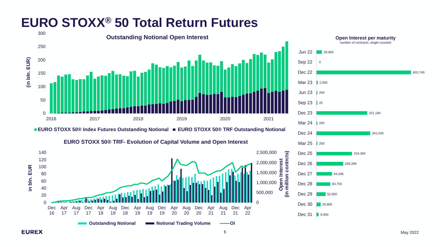## **EURO STOXX® 50 Total Return Futures**



■ EURO STOXX 50® Index Futures Outstanding Notional ■ EURO STOXX 50® TRF Outstanding Notional





**(in million contrcts)**

millio

ι

င္ပြ

ntrcts)

603,749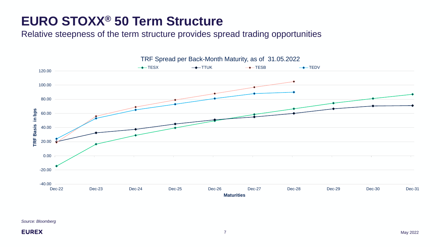## **EURO STOXX® 50 Term Structure**

Relative steepness of the term structure provides spread trading opportunities



*Source: Bloomberg*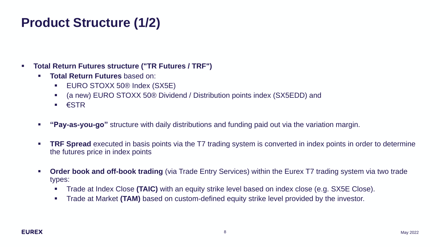## **Product Structure (1/2)**

- **Total Return Futures structure ("TR Futures / TRF")**
	- **Total Return Futures** based on:
		- **EURO STOXX 50® Index (SX5E)**
		- (a new) EURO STOXX 50® Dividend / Distribution points index (SX5EDD) and
		- $\blacksquare$   $\epsilon$  STR
	- **"Pay-as-you-go"** structure with daily distributions and funding paid out via the variation margin.
	- **TRF Spread** executed in basis points via the T7 trading system is converted in index points in order to determine the futures price in index points
	- **Order book and off-book trading** (via Trade Entry Services) within the Eurex T7 trading system via two trade types:
		- **Trade at Index Close (TAIC)** with an equity strike level based on index close (e.g. SX5E Close).
		- **Trade at Market (TAM)** based on custom-defined equity strike level provided by the investor.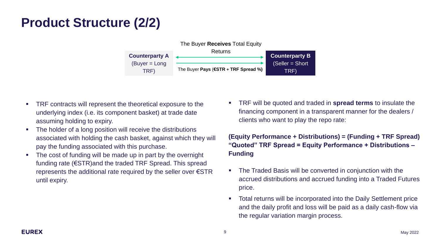## **Product Structure (2/2)**



- TRF contracts will represent the theoretical exposure to the underlying index (i.e. its component basket) at trade date assuming holding to expiry.
- The holder of a long position will receive the distributions associated with holding the cash basket, against which they will pay the funding associated with this purchase.
- The cost of funding will be made up in part by the overnight funding rate (€STR)and the traded TRF Spread. This spread represents the additional rate required by the seller over €STR until expiry.

▪ TRF will be quoted and traded in **spread terms** to insulate the financing component in a transparent manner for the dealers / clients who want to play the repo rate:

**(Equity Performance + Distributions) = (Funding + TRF Spread) "Quoted" TRF Spread = Equity Performance + Distributions – Funding**

- The Traded Basis will be converted in conjunction with the accrued distributions and accrued funding into a Traded Futures price.
- Total returns will be incorporated into the Daily Settlement price and the daily profit and loss will be paid as a daily cash-flow via the regular variation margin process.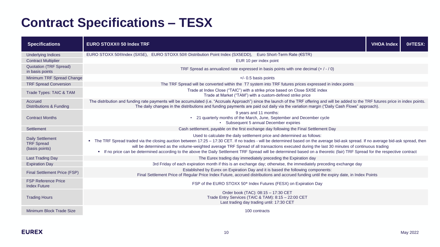## **Contract Specifications – TESX**

| <b>Specifications</b>                                          | <b>EURO STOXX® 50 Index TRF</b>                                                                                                                                                                                                                                                                                                                                                                                                                                                                                                                                                             | <b>VHOA Index</b> | 0#TESX: |
|----------------------------------------------------------------|---------------------------------------------------------------------------------------------------------------------------------------------------------------------------------------------------------------------------------------------------------------------------------------------------------------------------------------------------------------------------------------------------------------------------------------------------------------------------------------------------------------------------------------------------------------------------------------------|-------------------|---------|
| <b>Underlying Indices</b>                                      | EURO STOXX 50®Index (SX5E), EURO STOXX 50® Distribution Point Index (SX5EDD), Euro Short-Term Rate (€STR)                                                                                                                                                                                                                                                                                                                                                                                                                                                                                   |                   |         |
| <b>Contract Multiplier</b>                                     | EUR 10 per index point                                                                                                                                                                                                                                                                                                                                                                                                                                                                                                                                                                      |                   |         |
| <b>Quotation (TRF Spread)</b><br>in basis points               | TRF Spread as annualized rate expressed in basis points with one decimal $(+ / / 0)$                                                                                                                                                                                                                                                                                                                                                                                                                                                                                                        |                   |         |
| Minimum TRF Spread Change                                      | $+/-$ 0.5 basis points                                                                                                                                                                                                                                                                                                                                                                                                                                                                                                                                                                      |                   |         |
| <b>TRF Spread Conversion</b>                                   | The TRF Spread will be converted within the T7 system into TRF futures prices expressed in index points                                                                                                                                                                                                                                                                                                                                                                                                                                                                                     |                   |         |
| Trade Types: TAIC & TAM                                        | Trade at Index Close ("TAIC") with a strike price based on Close SX5E index<br>Trade at Market ("TAM") with a custom-defined strike price                                                                                                                                                                                                                                                                                                                                                                                                                                                   |                   |         |
| Accrued<br><b>Distributions &amp; Funding</b>                  | The distribution and funding rate payments will be accumulated (i.e. "Accruals Approach") since the launch of the TRF offering and will be added to the TRF futures price in index points.<br>The daily changes in the distributions and funding payments are paid out daily via the variation margin ("Daily Cash Flows" approach).                                                                                                                                                                                                                                                        |                   |         |
| <b>Contract Months</b>                                         | 9 years and 11 months:<br>• 21 quarterly months of the March, June, September and December cycle<br>• Subsequent 5 annual December expiries                                                                                                                                                                                                                                                                                                                                                                                                                                                 |                   |         |
| Settlement                                                     | Cash settlement, payable on the first exchange day following the Final Settlement Day                                                                                                                                                                                                                                                                                                                                                                                                                                                                                                       |                   |         |
| <b>Daily Settlement</b><br><b>TRF Spread</b><br>(basis points) | Used to calculate the daily settlement price and determined as follows:<br>The TRF Spread traded via the closing auction between 17:25 - 17:30 CET. If no trades - will be determined based on the average bid-ask spread. If no average bid-ask spread, then<br>will be determined as the volume-weighted average TRF Spread of all transactions executed during the last 30 minutes of continuous trading<br>• If no price can be determined according to the above the Daily Settlement TRF Spread will be determined based on a theoretic (fair) TRF Spread for the respective contract |                   |         |
| <b>Last Trading Day</b>                                        | The Eurex trading day immediately preceding the Expiration day                                                                                                                                                                                                                                                                                                                                                                                                                                                                                                                              |                   |         |
| <b>Expiration Day</b>                                          | 3rd Friday of each expiration month if this is an exchange day; otherwise, the immediately preceding exchange day                                                                                                                                                                                                                                                                                                                                                                                                                                                                           |                   |         |
| Final Settlement Price (FSP)                                   | Established by Eurex on Expiration Day and it is based the following components:<br>Final Settlement Price of Regular Price Index Future, accrued distributions and accrued funding until the expiry date, in Index Points                                                                                                                                                                                                                                                                                                                                                                  |                   |         |
| <b>FSP Reference Price</b><br><b>Index Future</b>              | FSP of the EURO STOXX 50 <sup>®</sup> Index Futures (FESX) on Expiration Day                                                                                                                                                                                                                                                                                                                                                                                                                                                                                                                |                   |         |
| <b>Trading Hours</b>                                           | Order book (TAC): 08:15 - 17:30 CET<br>Trade Entry Services (TAIC & TAM): 8:15 - 22:00 CET<br>Last trading day trading until: 17:30 CET                                                                                                                                                                                                                                                                                                                                                                                                                                                     |                   |         |
| Minimum Block Trade Size                                       | 100 contracts                                                                                                                                                                                                                                                                                                                                                                                                                                                                                                                                                                               |                   |         |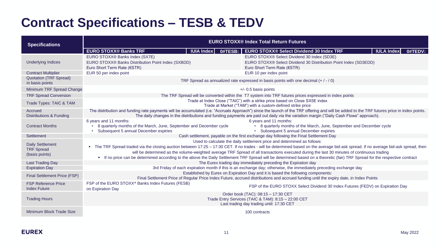## **Contract Specifications – TESB & TEDV**

| <b>Specifications</b>                                          | <b>EURO STOXX® Index Total Return Futures</b>                                                                                          |                                                                                                                                                                                                                                                                                                                                                                                                                                                                                                                                                                                             |  |  |  |  |  |  |
|----------------------------------------------------------------|----------------------------------------------------------------------------------------------------------------------------------------|---------------------------------------------------------------------------------------------------------------------------------------------------------------------------------------------------------------------------------------------------------------------------------------------------------------------------------------------------------------------------------------------------------------------------------------------------------------------------------------------------------------------------------------------------------------------------------------------|--|--|--|--|--|--|
|                                                                | <b>EURO STOXX® Banks TRF</b><br><b>IUIA Index</b><br>0#TESB:                                                                           | <b>EURO STOXX® Select Dividend 30 Index TRF</b><br><b>IULA Index</b><br>0#TEDV:                                                                                                                                                                                                                                                                                                                                                                                                                                                                                                             |  |  |  |  |  |  |
| <b>Underlying Indices</b>                                      | EURO STOXX® Banks Index (SX7E)<br>EURO STOXX® Banks Distribution Point Index (SXBDD)<br>Euro Short Term Rate (€STR)                    | EURO STOXX® Select Dividend 30 Index (SD3E)<br>EURO STOXX® Select Dividend 30 Distribution Point Index (SD3EDD)<br>Euro Short Term Rate (€STR)                                                                                                                                                                                                                                                                                                                                                                                                                                              |  |  |  |  |  |  |
| <b>Contract Multiplier</b>                                     | EUR 50 per index point                                                                                                                 | EUR 10 per index point                                                                                                                                                                                                                                                                                                                                                                                                                                                                                                                                                                      |  |  |  |  |  |  |
| <b>Quotation (TRF Spread)</b><br>in basis points               |                                                                                                                                        | TRF Spread as annualized rate expressed in basis points with one decimal $(+ / / 0)$                                                                                                                                                                                                                                                                                                                                                                                                                                                                                                        |  |  |  |  |  |  |
| Minimum TRF Spread Change                                      |                                                                                                                                        | $+/-$ 0.5 basis points                                                                                                                                                                                                                                                                                                                                                                                                                                                                                                                                                                      |  |  |  |  |  |  |
| <b>TRF Spread Conversion</b>                                   |                                                                                                                                        | The TRF Spread will be converted within the T7 system into TRF futures prices expressed in index points                                                                                                                                                                                                                                                                                                                                                                                                                                                                                     |  |  |  |  |  |  |
| Trade Types: TAIC & TAM                                        |                                                                                                                                        | Trade at Index Close ("TAIC") with a strike price based on Close SX5E index<br>Trade at Market ("TAM") with a custom-defined strike price                                                                                                                                                                                                                                                                                                                                                                                                                                                   |  |  |  |  |  |  |
| Accrued<br><b>Distributions &amp; Funding</b>                  |                                                                                                                                        | The distribution and funding rate payments will be accumulated (i.e. "Accruals Approach") since the launch of the TRF offering and will be added to the TRF futures price in index points.<br>The daily changes in the distributions and funding payments are paid out daily via the variation margin ("Daily Cash Flows" approach).                                                                                                                                                                                                                                                        |  |  |  |  |  |  |
| <b>Contract Months</b>                                         | 6 years and 11 months:<br>8 quarterly months of the March, June, September and December cycle<br>Subsequent 5 annual December expiries | 6 years and 11 months:<br>• 8 quarterly months of the March, June, September and December cycle<br>• Subsequent 5 annual December expiries                                                                                                                                                                                                                                                                                                                                                                                                                                                  |  |  |  |  |  |  |
| Settlement                                                     |                                                                                                                                        | Cash settlement, payable on the first exchange day following the Final Settlement Day                                                                                                                                                                                                                                                                                                                                                                                                                                                                                                       |  |  |  |  |  |  |
| <b>Daily Settlement</b><br><b>TRF Spread</b><br>(basis points) |                                                                                                                                        | Used to calculate the daily settlement price and determined as follows:<br>The TRF Spread traded via the closing auction between 17:25 - 17:30 CET. If no trades - will be determined based on the average bid-ask spread. If no average bid-ask spread, then<br>will be determined as the volume-weighted average TRF Spread of all transactions executed during the last 30 minutes of continuous trading<br>• If no price can be determined according to the above the Daily Settlement TRF Spread will be determined based on a theoretic (fair) TRF Spread for the respective contract |  |  |  |  |  |  |
| <b>Last Trading Day</b>                                        |                                                                                                                                        | The Eurex trading day immediately preceding the Expiration day                                                                                                                                                                                                                                                                                                                                                                                                                                                                                                                              |  |  |  |  |  |  |
| <b>Expiration Day</b>                                          |                                                                                                                                        | 3rd Friday of each expiration month if this is an exchange day; otherwise, the immediately preceding exchange day                                                                                                                                                                                                                                                                                                                                                                                                                                                                           |  |  |  |  |  |  |
| Final Settlement Price (FSP)                                   |                                                                                                                                        | Established by Eurex on Expiration Day and it is based the following components:<br>Final Settlement Price of Regular Price Index Future, accrued distributions and accrued funding until the expiry date, in Index Points                                                                                                                                                                                                                                                                                                                                                                  |  |  |  |  |  |  |
| <b>FSP Reference Price</b><br><b>Index Future</b>              | FSP of the EURO STOXX® Banks Index Futures (FESB)<br>on Expiration Day                                                                 | FSP of the EURO STOXX Select Dividend 30 Index Futures (FEDV) on Expiration Day                                                                                                                                                                                                                                                                                                                                                                                                                                                                                                             |  |  |  |  |  |  |
| <b>Trading Hours</b>                                           |                                                                                                                                        | Order book (TAC): 08:15 - 17:30 CET<br>Trade Entry Services (TAIC & TAM): 8:15 - 22:00 CET<br>Last trading day trading until: 17:30 CET                                                                                                                                                                                                                                                                                                                                                                                                                                                     |  |  |  |  |  |  |
| Minimum Block Trade Size                                       |                                                                                                                                        | 100 contracts                                                                                                                                                                                                                                                                                                                                                                                                                                                                                                                                                                               |  |  |  |  |  |  |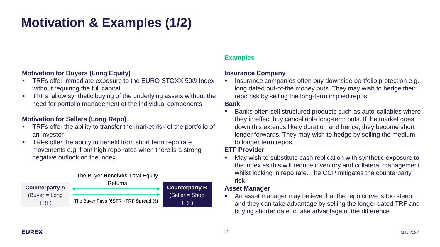# **Motivation & Examples (1/2)**

### **Motivation for Buyers (Long Equity)**

- TRFs offer immediate exposure to the EURO STOXX 50<sup>®</sup> Index without requiring the full capital
- TRFs allow synthetic buying of the underlying assets without the need for portfolio management of the individual components

### **Motivation for Sellers (Long Repo)**

- TRFs offer the ability to transfer the market risk of the portfolio of an investor
- TRFs offer the ability to benefit from short term repo rate movements e.g. from high repo rates when there is a strong negative outlook on the index

### The Buyer **Receives** Total Equity



### **Examples**

### **Insurance Company**

Insurance companies often buy downside portfolio protection e.g., long dated out-of-the money puts. They may wish to hedge their repo risk by selling the long-term implied repos

### **Bank**

■ Banks often sell structured products such as auto-callables where they in effect buy cancellable long-term puts. If the market goes down this extends likely duration and hence, they become short longer forwards. They may wish to hedge by selling the medium to longer term repos.

### **ETF Provider**

■ May wish to substitute cash replication with synthetic exposure to the index as this will reduce inventory and collateral management whilst locking in repo rate. The CCP mitigates the counterparty risk

### **Asset Manager**

■ An asset manager may believe that the repo curve is too steep, and they can take advantage by selling the longer dated TRF and buying shorter date to take advantage of the difference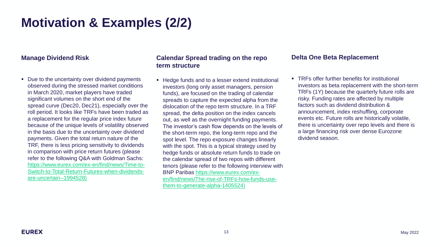## **Motivation & Examples (2/2)**

### **Manage Dividend Risk**

■ Due to the uncertainty over dividend payments observed during the stressed market conditions in March 2020, market players have traded significant volumes on the short end of the spread curve (Dec20, Dec21), especially over the roll period. It looks like TRFs have been traded as a replacement for the regular price index future because of the unique levels of volatility observed in the basis due to the uncertainty over dividend payments. Given the total return nature of the TRF, there is less pricing sensitivity to dividends in comparison with price return futures (please refer to the following Q&A with Goldman Sachs: https://www.eurex.com/ex-en/find/news/Time-to-[Switch-to-Total-Return-Futures-when-dividends](https://www.eurex.com/ex-en/find/news/Time-to-Switch-to-Total-Return-Futures-when-dividends-are-uncertain--1994528)are-uncertain--1994528)

### **Calendar Spread trading on the repo term structure**

■ Hedge funds and to a lesser extend institutional investors (long only asset managers, pension funds), are focused on the trading of calendar spreads to capture the expected alpha from the dislocation of the repo term structure. In a TRF spread, the delta position on the index cancels out, as well as the overnight funding payments. The investor's cash flow depends on the levels of the short-term repo, the long-term repo and the spot level. The repo exposure changes linearly with the spot. This is a typical strategy used by hedge funds or absolute return funds to trade on the calendar spread of two repos with different tenors (please refer to the following interview with BNP Paribas https://www.eurex.com/ex[en/find/news/The-rise-of-TRFs-how-funds-use](https://www.eurex.com/ex-en/find/news/The-rise-of-TRFs-how-funds-use-them-to-generate-alpha-1405524))them-to-generate-alpha-1405524)

### **Delta One Beta Replacement**

■ TRFs offer further benefits for institutional investors as beta replacement with the short-term TRFs (1Y) because the quarterly future rolls are risky. Funding rates are affected by multiple factors such as dividend distribution & announcement, index reshuffling, corporate events etc. Future rolls are historically volatile, there is uncertainty over repo levels and there is a large financing risk over dense Eurozone dividend season.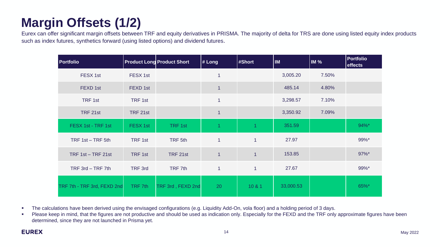# **Margin Offsets (1/2)**

Eurex can offer significant margin offsets between TRF and equity derivatives in PRISMA. The majority of delta for TRS are done using listed equity index products such as index futures, synthetics forward (using listed options) and dividend futures.

| <b>Portfolio</b>            |          | <b>Product Long Product Short</b> | # Long         | #Short         | <b>IM</b> | IM%   | <b>Portfolio</b><br>effects |
|-----------------------------|----------|-----------------------------------|----------------|----------------|-----------|-------|-----------------------------|
| FESX 1st                    | FESX 1st |                                   |                |                | 3,005.20  | 7.50% |                             |
| FEXD 1st                    | FEXD 1st |                                   |                |                | 485.14    | 4.80% |                             |
| TRF 1st                     | TRF 1st  |                                   | 1              |                | 3,298.57  | 7.10% |                             |
| TRF 21st                    | TRF 21st |                                   | $\overline{1}$ |                | 3,350.92  | 7.09% |                             |
| FESX 1st - TRF 1st          | FESX 1st | TRF 1st                           |                |                | 351.59    |       | 94%*                        |
| TRF 1st - TRF 5th           | TRF 1st  | TRF 5th                           | $\mathbf{1}$   | $\overline{1}$ | 27.97     |       | 99%*                        |
| TRF $1st - TRF 21st$        | TRF 1st  | TRF 21st                          | $\mathbf{1}$   | $\mathbf{1}$   | 153.85    |       | 97%*                        |
| TRF 3rd - TRF 7th           | TRF 3rd  | TRF 7th                           | $\mathbf{1}$   | $\mathbf{1}$   | 27.67     |       | 99%*                        |
| TRF 7th - TRF 3rd, FEXD 2nd | TRF 7th  | TRF 3rd, FEXD 2nd                 | 20             | 10 & 1         | 33,000.53 |       | 65%*                        |

■ The calculations have been derived using the envisaged configurations (e.g. Liquidity Add-On, vola floor) and a holding period of 3 days.

■ Please keep in mind, that the figures are not productive and should be used as indication only. Especially for the FEXD and the TRF only approximate figures have been determined, since they are not launched in Prisma yet.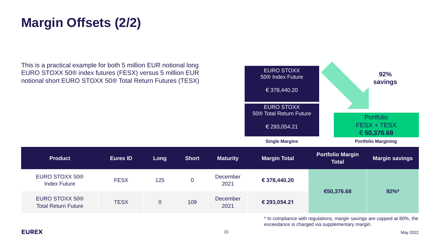## **Margin Offsets (2/2)**

This is a practical example for both 5 million EUR notional long EURO STOXX 50® index futures (FESX) versus 5 million EUR notional short EURO STOXX 50® Total Return Futures (TESX)



**Product Eurex ID Long Short Maturity Margin Total Portfolio Margin**  December

| <b>EURO STOXX 50®</b><br><b>Index Future</b>                                   | <b>FESX</b> | 125 |     | December<br>2021 | € 378,440.20 |            |          |
|--------------------------------------------------------------------------------|-------------|-----|-----|------------------|--------------|------------|----------|
| <b>EURO STOXX 50®</b><br><b>Total Return Future</b>                            | <b>TESX</b> |     | 109 | December<br>2021 | € 293,054.21 | €50,376.68 | $92\%$ * |
| $\star$ la compliance with requisions mornin covings are connected the $0.001$ |             |     |     |                  |              |            |          |

In compliance with regulations, margin savings are capped at 80%, the exceedance is charged via supplementary margin.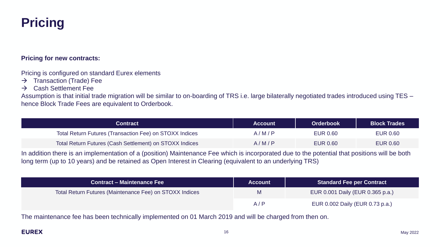## **Pricing**

### **Pricing for new contracts:**

Pricing is configured on standard Eurex elements

- $\rightarrow$  Transaction (Trade) Fee
- $\rightarrow$  Cash Settlement Fee

Assumption is that initial trade migration will be similar to on-boarding of TRS i.e. large bilaterally negotiated trades introduced using TES – hence Block Trade Fees are equivalent to Orderbook.

| <b>Contract</b>                                         | <b>Account</b> | <b>Orderbook</b> | <b>Block Trades</b> |
|---------------------------------------------------------|----------------|------------------|---------------------|
| Total Return Futures (Transaction Fee) on STOXX Indices | A/M/P          | <b>EUR 0.60</b>  | <b>EUR 0.60</b>     |
| Total Return Futures (Cash Settlement) on STOXX Indices | A/M/P          | <b>EUR 0.60</b>  | <b>EUR 0.60</b>     |

In addition there is an implementation of a (position) Maintenance Fee which is incorporated due to the potential that positions will be both long term (up to 10 years) and be retained as Open Interest in Clearing (equivalent to an underlying TRS)

| <b>Contract – Maintenance Fee</b>                       | <b>IAccount</b> ∣ | <b>Standard Fee per Contract</b> |
|---------------------------------------------------------|-------------------|----------------------------------|
| Total Return Futures (Maintenance Fee) on STOXX Indices | M                 | EUR 0.001 Daily (EUR 0.365 p.a.) |
|                                                         | A/P               | EUR 0.002 Daily (EUR 0.73 p.a.)  |

The maintenance fee has been technically implemented on 01 March 2019 and will be charged from then on.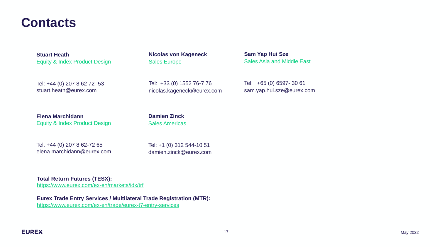## **Contacts**

**Stuart Heath** Equity & Index Product Design

Tel: +44 (0) 207 8 62 72 -53 stuart.heath@eurex.com

**Elena Marchidann** Equity & Index Product Design

Tel: +44 (0) 207 8 62-72 65 elena.marchidann@eurex.com **Nicolas von Kageneck** Sales Europe

Tel: +33 (0) 1552 76-7 76 nicolas.kageneck@eurex.com

**Damien Zinck** Sales Americas

Tel: +1 (0) 312 544-10 51 damien.zinck@eurex.com

**Total Return Futures (TESX):** <https://www.eurex.com/ex-en/markets/idx/trf>

**Eurex Trade Entry Services / Multilateral Trade Registration (MTR):** <https://www.eurex.com/ex-en/trade/eurex-t7-entry-services>

**Sam Yap Hui Sze**

Sales Asia and Middle East

Tel: +65 (0) 6597- 30 61 sam.yap.hui.sze@eurex.com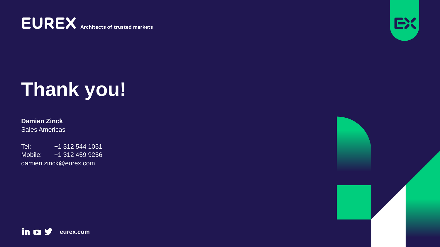**EUREX** Architects of trusted markets



# **Thank you!**

**Damien Zinck** Sales Americas

Tel: +1 312 544 1051 Mobile: +1 312 459 9256 damien.zinck@eurex.com

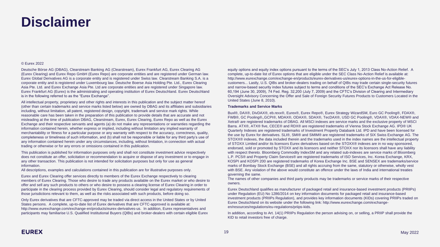## **Disclaimer**

### © Eurex 2022

Deutsche Börse AG (DBAG), Clearstream Banking AG (Clearstream), Eurex Frankfurt AG, Eurex Clearing AG (Eurex Clearing) and Eurex Repo GmbH (Eurex Repo) are corporate entities and are registered under German law. Eurex Global Derivatives AG is a corporate entity and is registered under Swiss law. Clearstream Banking S.A. is a corporate entity and is registered under Luxembourg law. Deutsche Boerse Asia Holding Pte. Ltd., Eurex Clearing Asia Pte. Ltd. and Eurex Exchange Asia Pte. Ltd are corporate entities and are registered under Singapore law. Eurex Frankfurt AG (Eurex) is the administrating and operating institution of Eurex Deutschland. Eurex Deutschland is in the following referred to as the "Eurex Exchange".

All intellectual property, proprietary and other rights and interests in this publication and the subject matter hereof (other than certain trademarks and service marks listed below) are owned by DBAG and its affiliates and subsidiaries including, without limitation, all patent, registered design, copyright, trademark and service mark rights. While reasonable care has been taken in the preparation of this publication to provide details that are accurate and not misleading at the time of publication DBAG, Clearstream, Eurex, Eurex Clearing, Eurex Repo as well as the Eurex Exchange and their respective servants and agents (a) do not make any representations or warranties regarding the information contained herein, whether express or implied, including without limitation any implied warranty of merchantability or fitness for a particular purpose or any warranty with respect to the accuracy, correctness, quality, completeness or timeliness of such information, and (b) shall not be responsible or liable for any third party's use of any information contained herein under any circumstances, including, without limitation, in connection with actual trading or otherwise or for any errors or omissions contained in this publication.

This publication is published for information purposes only and shall not constitute investment advice respectively does not constitute an offer, solicitation or recommendation to acquire or dispose of any investment or to engage in any other transaction. This publication is not intended for solicitation purposes but only for use as general information.

All descriptions, examples and calculations contained in this publication are for illustrative purposes only.

Eurex and Eurex Clearing offer services directly to members of the Eurex Exchange respectively to clearing members of Eurex Clearing. Those who desire to trade any products available on the Eurex market or who desire to offer and sell any such products to others or who desire to possess a clearing license of Eurex Clearing in order to participate in the clearing process provided by Eurex Clearing, should consider legal and regulatory requirements of those jurisdictions relevant to them, as well as the risks associated with such products, before doing so.

Only Eurex derivatives that are CFTC-approved may be traded via direct access in the United States or by United States persons. A complete, up-to-date list of Eurex derivatives that are CFTC-approved is available at: http://www.eurexchange.com/exchange-en/products/eurex-derivatives-us. In addition, Eurex representatives and participants may familiarise U.S. Qualified Institutional Buyers (QIBs) and broker-dealers with certain eligible Eurex equity options and equity index options pursuant to the terms of the SEC's July 1, 2013 Class No-Action Relief. A complete, up-to-date list of Eurex options that are eligible under the SEC Class No-Action Relief is available at: http://www.eurexchange.com/exchange-en/products/eurex-derivatives-us/eurex-options-in-the-us-for-eligiblecustomers... Lastly, U.S. QIBs and broker-dealers trading on behalf of QIBs may trade certain single-security futures and narrow-based security index futures subject to terms and conditions of the SEC's Exchange Act Release No. 60,194 (June 30, 2009), 74 Fed. Reg. 32,200 (July 7, 2009) and the CFTC's Division of Clearing and Intermediary Oversight Advisory Concerning the Offer and Sale of Foreign Security Futures Products to Customers Located in the United States (June 8, 2010).

### **Trademarks and Service Marks**

Buxl®, DAX®, DivDAX®, eb.rexx®, Eurex®, Eurex Repo®, Eurex Strategy WizardSM, Euro GC Pooling®, FDAX®, FWB®, GC Pooling®,,GCPI®, MDAX®, ODAX®, SDAX®, TecDAX®, USD GC Pooling®, VDAX®, VDAX-NEW® and Xetra® are registered trademarks of DBAG. All MSCI indexes are service marks and the exclusive property of MSCI Barra. ATX®, ATX® five, CECE® and RDX® are registered trademarks of Vienna Stock Exchange AG. IPD® UK Quarterly Indexes are registered trademarks of Investment Property Databank Ltd. IPD and have been licensed for the use by Eurex for derivatives. SLI®, SMI® and SMIM® are registered trademarks of SIX Swiss Exchange AG. The STOXX® indexes, the data included therein and the trademarks used in the index names are the intellectual property of STOXX Limited and/or its licensors Eurex derivatives based on the STOXX® indexes are in no way sponsored, endorsed, sold or promoted by STOXX and its licensors and neither STOXX nor its licensors shall have any liability with respect thereto. Bloomberg Commodity IndexSM and any related sub-indexes are service marks of Bloomberg L.P. PCS® and Property Claim Services® are registered trademarks of ISO Services, Inc. Korea Exchange, KRX, KOSPI and KOSPI 200 are registered trademarks of Korea Exchange Inc. BSE and SENSEX are trademarks/service marks of Bombay Stock Exchange (BSE) and all rights accruing from the same, statutory or otherwise, wholly vest with BSE. Any violation of the above would constitute an offence under the laws of India and international treaties governing the same.

The names of other companies and third party products may be trademarks or service marks of their respective owners.

Eurex Deutschland qualifies as manufacturer of packaged retail and insurance-based investment products (PRIIPs) under Regulation (EU) No 1286/2014 on key information documents for packaged retail and insurance-based investment products (PRIIPs Regulation), and provides key information documents (KIDs) covering PRIIPs traded on Eurex Deutschland on its website under the following link: http://www.eurexchange.com/exchangeen/resources/regulations/eu-regulations/priips-kids.

In addition, according to Art. 14(1) PRIIPs Regulation the person advising on, or selling, a PRIIP shall provide the KID to retail investors free of charge.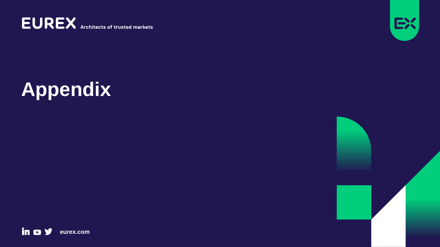**EUREX** Architects of trusted markets



# **Appendix**

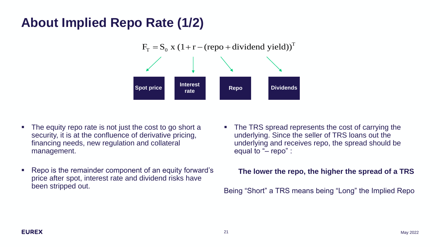## **About Implied Repo Rate (1/2)**



- The equity repo rate is not just the cost to go short a security, it is at the confluence of derivative pricing, financing needs, new regulation and collateral management.
- Repo is the remainder component of an equity forward's price after spot, interest rate and dividend risks have been stripped out.
- The TRS spread represents the cost of carrying the underlying. Since the seller of TRS loans out the underlying and receives repo, the spread should be equal to "– repo" :

## **The lower the repo, the higher the spread of a TRS**

Being "Short" a TRS means being "Long" the Implied Repo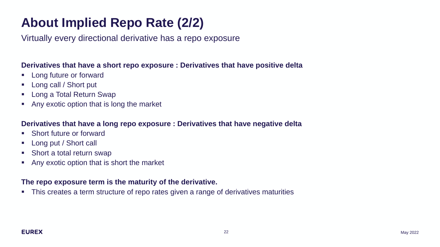# **About Implied Repo Rate (2/2)**

Virtually every directional derivative has a repo exposure

## **Derivatives that have a short repo exposure : Derivatives that have positive delta**

- Long future or forward
- Long call / Short put
- Long a Total Return Swap
- Any exotic option that is long the market

## **Derivatives that have a long repo exposure : Derivatives that have negative delta**

- Short future or forward
- Long put / Short call
- Short a total return swap
- Any exotic option that is short the market

## **The repo exposure term is the maturity of the derivative.**

■ This creates a term structure of repo rates given a range of derivatives maturities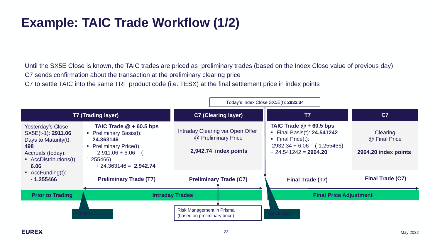# **Example: TAIC Trade Workflow (1/2)**

Until the SX5E Close is known, the TAIC trades are priced as preliminary trades (based on the Index Close value of previous day) C7 sends confirmation about the transaction at the preliminary clearing price

C7 to settle TAIC into the same TRF product code (i.e. TESX) at the final settlement price in index points

|                                                                                                                                                                                                |                                                                                                                                                                     | Today's Index Close SX5E(t): 2932.34                                             |                               |                                                                                                                                                           |                                                   |
|------------------------------------------------------------------------------------------------------------------------------------------------------------------------------------------------|---------------------------------------------------------------------------------------------------------------------------------------------------------------------|----------------------------------------------------------------------------------|-------------------------------|-----------------------------------------------------------------------------------------------------------------------------------------------------------|---------------------------------------------------|
| <b>T7 (Trading layer)</b>                                                                                                                                                                      |                                                                                                                                                                     | <b>C7 (Clearing layer)</b>                                                       |                               | T7                                                                                                                                                        | C <sub>7</sub>                                    |
| Yesterday's Close<br>SX5E(t-1): 2911.06<br>Days to Maturity $(t)$ :<br>498<br>Accruals (today):<br>$\blacksquare$ AccDistributions(t):<br>6.06<br>$\blacksquare$ AccFunding(t):<br>$-1.255466$ | TAIC Trade $@ + 60.5$ bps<br>• Preliminary Basis(t):<br>24,363146<br><b>Preliminary Price(t):</b><br>$2,911.06 + 6.06 - (-$<br>1.255466)<br>$+24.363146 = 2,942.74$ | Intraday Clearing via Open Offer<br>@ Preliminary Price<br>2,942.74 index points |                               | TAIC Trade $@ + 60.5$ bps<br>• Final Basis(t): $24.541242$<br>$\blacksquare$ Final Price(t):<br>$2932.34 + 6.06 - (-1.255466)$<br>$+ 24.541242 = 2964.20$ | Clearing<br>@ Final Price<br>2964.20 index points |
|                                                                                                                                                                                                | <b>Preliminary Trade (T7)</b>                                                                                                                                       |                                                                                  | <b>Preliminary Trade (C7)</b> | <b>Final Trade (T7)</b>                                                                                                                                   | <b>Final Trade (C7)</b>                           |
| <b>Prior to Trading</b>                                                                                                                                                                        |                                                                                                                                                                     | <b>Intraday Trades</b>                                                           |                               |                                                                                                                                                           | <b>Final Price Adjustment</b>                     |
|                                                                                                                                                                                                | 08:00 CET                                                                                                                                                           | Risk Management in Prisma<br>(based on preliminary price)                        |                               |                                                                                                                                                           |                                                   |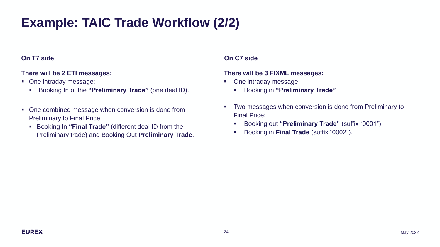# **Example: TAIC Trade Workflow (2/2)**

### **On T7 side On C7 side**

## **There will be 2 ETI messages:**

- One intraday message:
	- Booking In of the **"Preliminary Trade"** (one deal ID).
- One combined message when conversion is done from Preliminary to Final Price:
	- Booking In **"Final Trade"** (different deal ID from the Preliminary trade) and Booking Out **Preliminary Trade**.

### **There will be 3 FIXML messages:**

- One intraday message:
	- Booking in **"Preliminary Trade"**
- **Two messages when conversion is done from Preliminary to** Final Price:
	- Booking out **"Preliminary Trade"** (suffix "0001")
	- Booking in **Final Trade** (suffix "0002").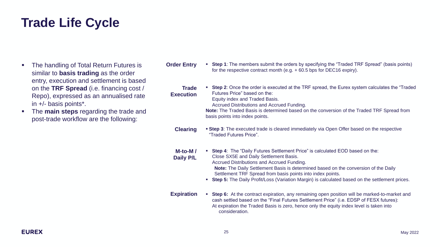## **Trade Life Cycle**

- The handling of Total Return Futures is similar to **basis trading** as the order entry, execution and settlement is based on the **TRF Spread** (i.e. financing cost / Repo), expressed as an annualised rate in +/- basis points\*.
- The **main steps** regarding the trade and post-trade workflow are the following:
- **Step 1**: The members submit the orders by specifying the "Traded TRF Spread" (basis points) for the respective contract month (e.g. + 60.5 bps for DEC16 expiry). **Order Entry** 
	- **EXECT:** Step 2: Once the order is executed at the TRF spread, the Eurex system calculates the "Traded" Futures Price" based on the: Equity index and Traded Basis. **Trade Execution**

Accrued Distributions and Accrued Funding.

**Note:** The Traded Basis is determined based on the conversion of the Traded TRF Spread from basis points into index points.

- **Clearing Step 3**: The executed trade is cleared immediately via Open Offer based on the respective "Traded Futures Price".
- **M-to-M / Daily P/L** ▪ **Step 4**: The "Daily Futures Settlement Price" is calculated EOD based on the: Close SX5E and Daily Settlement Basis. Accrued Distributions and Accrued Funding. **Note:** The Daily Settlement Basis is determined based on the conversion of the Daily Settlement TRF Spread from basis points into index points.
	- **Step 5:** The Daily Profit/Loss (Variation Margin) is calculated based on the settlement prices.
- **Expiration EXECT:** Step 6: At the contract expiration, any remaining open position will be marked-to-market and cash settled based on the "Final Futures Settlement Price" (i.e. EDSP of FESX futures): At expiration the Traded Basis is zero, hence only the equity index level is taken into consideration.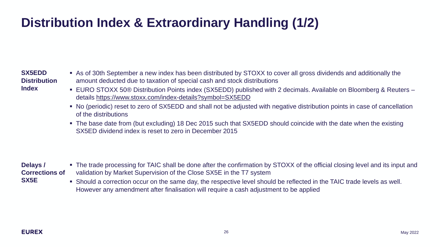# **Distribution Index & Extraordinary Handling (1/2)**

### **SX5EDD Distribution Index**

- As of 30th September a new index has been distributed by STOXX to cover all gross dividends and additionally the amount deducted due to taxation of special cash and stock distributions
- EURO STOXX 50® Distribution Points index (SX5EDD) published with 2 decimals. Available on Bloomberg & Reuters details<https://www.stoxx.com/index-details?symbol=SX5EDD>
- No (periodic) reset to zero of SX5EDD and shall not be adjusted with negative distribution points in case of cancellation of the distributions
- The base date from (but excluding) 18 Dec 2015 such that SX5EDD should coincide with the date when the existing SX5ED dividend index is reset to zero in December 2015

### **Delays / Corrections of SX5E**

- The trade processing for TAIC shall be done after the confirmation by STOXX of the official closing level and its input and validation by Market Supervision of the Close SX5E in the T7 system
- Should a correction occur on the same day, the respective level should be reflected in the TAIC trade levels as well. However any amendment after finalisation will require a cash adjustment to be applied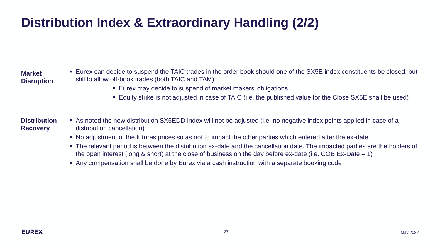# **Distribution Index & Extraordinary Handling (2/2)**

### **Market Disruption**

- Eurex can decide to suspend the TAIC trades in the order book should one of the SX5E index constituents be closed, but still to allow off-book trades (both TAIC and TAM)
	- Eurex may decide to suspend of market makers' obligations
	- Equity strike is not adjusted in case of TAIC (i.e. the published value for the Close SX5E shall be used)

### ▪ As noted the new distribution SX5EDD index will not be adjusted (i.e. no negative index points applied in case of a distribution cancellation) **Distribution Recovery**

- No adjustment of the futures prices so as not to impact the other parties which entered after the ex-date
- The relevant period is between the distribution ex-date and the cancellation date. The impacted parties are the holders of the open interest (long & short) at the close of business on the day before ex-date (i.e. COB Ex-Date – 1)
- Any compensation shall be done by Eurex via a cash instruction with a separate booking code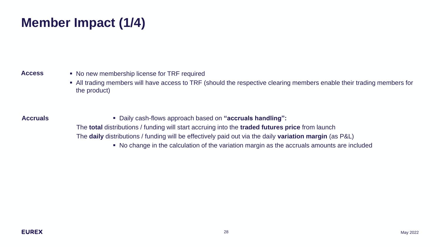# **Member Impact (1/4)**

### **Access**

- No new membership license for TRF required
- All trading members will have access to TRF (should the respective clearing members enable their trading members for the product)

- **Accruals** Daily cash-flows approach based on **"accruals handling":**
	- The **total** distributions / funding will start accruing into the **traded futures price** from launch
	- The **daily** distributions / funding will be effectively paid out via the daily **variation margin** (as P&L)
		- No change in the calculation of the variation margin as the accruals amounts are included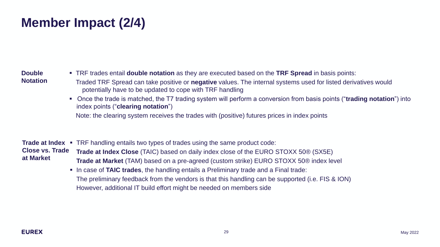# **Member Impact (2/4)**

### **Double Notation**

- TRF trades entail **double notation** as they are executed based on the **TRF Spread** in basis points:
- Traded TRF Spread can take positive or **negative** values. The internal systems used for listed derivatives would potentially have to be updated to cope with TRF handling
- Once the trade is matched, the T7 trading system will perform a conversion from basis points ("**trading notation**") into index points ("**clearing notation**")

Note: the clearing system receives the trades with (positive) futures prices in index points

Trade at Index • TRF handling entails two types of trades using the same product code: **Close vs. Trade at Market Trade at Index Close** (TAIC) based on daily index close of the EURO STOXX 50® (SX5E) **Trade at Market** (TAM) based on a pre-agreed (custom strike) EURO STOXX 50® index level

▪ In case of **TAIC trades**, the handling entails a Preliminary trade and a Final trade: The preliminary feedback from the vendors is that this handling can be supported (i.e. FIS & ION) However, additional IT build effort might be needed on members side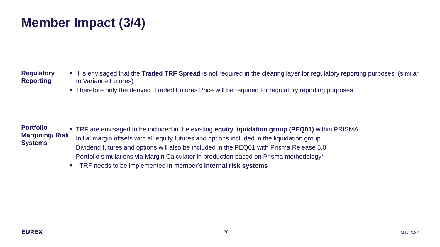# **Member Impact (3/4)**

### **Regulatory Reporting**

- It is envisaged that the **Traded TRF Spread** is not required in the clearing layer for regulatory reporting purposes (similar to Variance Futures)
- Therefore only the derived Traded Futures Price will be required for regulatory reporting purposes

### ▪ TRF are envisaged to be included in the existing **equity liquidation group (PEQ01)** within PRISMA Initial margin offsets with all equity futures and options included in the liquidation group Dividend futures and options will also be included in the PEQ01 with Prisma Release 5.0 Portfolio simulations via Margin Calculator in production based on Prisma methodology\* **Portfolio Margining/ Risk Systems**

▪ TRF needs to be implemented in member's **internal risk systems**